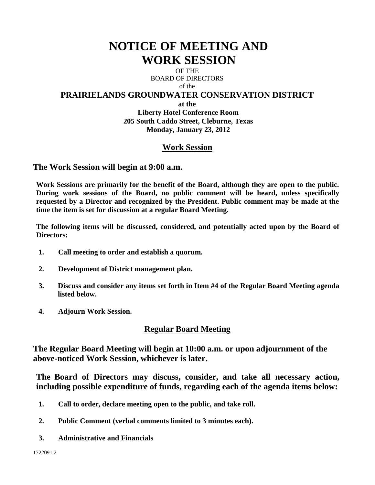# **NOTICE OF MEETING AND WORK SESSION**

OF THE BOARD OF DIRECTORS of the

## **PRAIRIELANDS GROUNDWATER CONSERVATION DISTRICT**

**at the**

**Liberty Hotel Conference Room 205 South Caddo Street, Cleburne, Texas Monday, January 23, 2012**

# **Work Session**

**The Work Session will begin at 9:00 a.m.** 

**Work Sessions are primarily for the benefit of the Board, although they are open to the public. During work sessions of the Board, no public comment will be heard, unless specifically requested by a Director and recognized by the President. Public comment may be made at the time the item is set for discussion at a regular Board Meeting.**

**The following items will be discussed, considered, and potentially acted upon by the Board of Directors:** 

- **1. Call meeting to order and establish a quorum.**
- **2. Development of District management plan.**
- **3. Discuss and consider any items set forth in Item #4 of the Regular Board Meeting agenda listed below.**
- **4. Adjourn Work Session.**

## **Regular Board Meeting**

**The Regular Board Meeting will begin at 10:00 a.m. or upon adjournment of the above-noticed Work Session, whichever is later.**

**The Board of Directors may discuss, consider, and take all necessary action, including possible expenditure of funds, regarding each of the agenda items below:**

- **1. Call to order, declare meeting open to the public, and take roll.**
- **2. Public Comment (verbal comments limited to 3 minutes each).**
- **3. Administrative and Financials**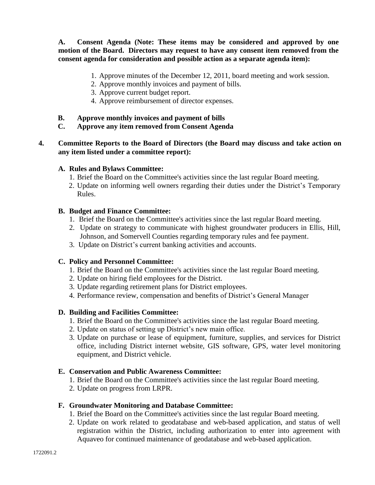**A. Consent Agenda (Note: These items may be considered and approved by one motion of the Board. Directors may request to have any consent item removed from the consent agenda for consideration and possible action as a separate agenda item):**

- 1. Approve minutes of the December 12, 2011, board meeting and work session.
- 2. Approve monthly invoices and payment of bills.
- 3. Approve current budget report.
- 4. Approve reimbursement of director expenses.
- **B. Approve monthly invoices and payment of bills**
- **C. Approve any item removed from Consent Agenda**
- **4. Committee Reports to the Board of Directors (the Board may discuss and take action on any item listed under a committee report):**

#### **A. Rules and Bylaws Committee:**

- 1. Brief the Board on the Committee's activities since the last regular Board meeting.
- 2. Update on informing well owners regarding their duties under the District's Temporary Rules.

#### **B. Budget and Finance Committee:**

- 1. Brief the Board on the Committee's activities since the last regular Board meeting.
- 2. Update on strategy to communicate with highest groundwater producers in Ellis, Hill, Johnson, and Somervell Counties regarding temporary rules and fee payment.
- 3. Update on District's current banking activities and accounts.

#### **C. Policy and Personnel Committee:**

- 1. Brief the Board on the Committee's activities since the last regular Board meeting.
- 2. Update on hiring field employees for the District.
- 3. Update regarding retirement plans for District employees.
- 4. Performance review, compensation and benefits of District's General Manager

#### **D. Building and Facilities Committee:**

- 1. Brief the Board on the Committee's activities since the last regular Board meeting.
- 2. Update on status of setting up District's new main office.
- 3. Update on purchase or lease of equipment, furniture, supplies, and services for District office, including District internet website, GIS software, GPS, water level monitoring equipment, and District vehicle.

#### **E. Conservation and Public Awareness Committee:**

- 1. Brief the Board on the Committee's activities since the last regular Board meeting.
- 2. Update on progress from LRPR.

#### **F. Groundwater Monitoring and Database Committee:**

- 1. Brief the Board on the Committee's activities since the last regular Board meeting.
- 2. Update on work related to geodatabase and web-based application, and status of well registration within the District, including authorization to enter into agreement with Aquaveo for continued maintenance of geodatabase and web-based application.